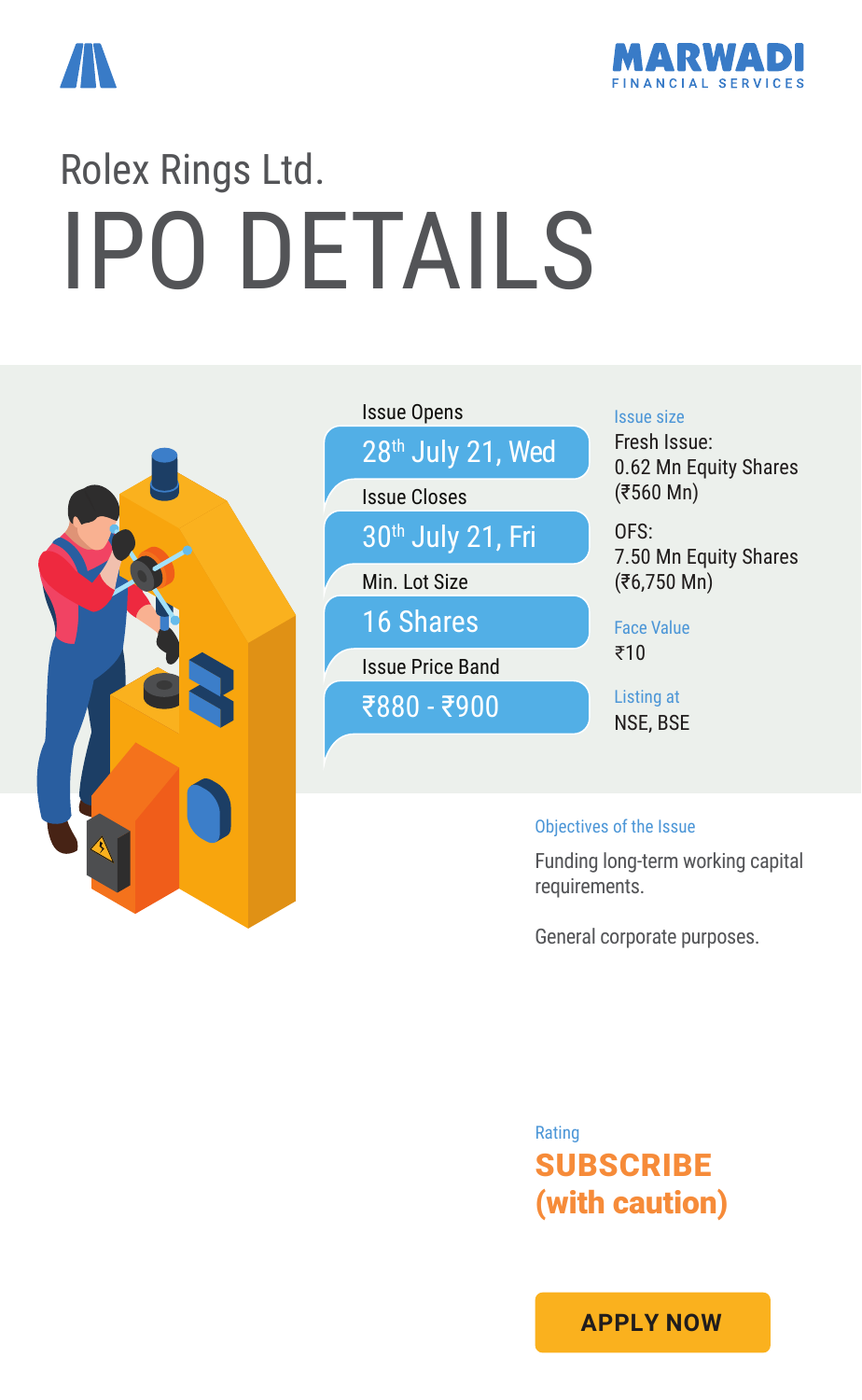



# Rolex Rings Ltd. IPO DETAILS



| <b>Issue Opens</b>            |
|-------------------------------|
| 28 <sup>th</sup> July 21, Wed |
| Issue Closes                  |
| 30th July 21, Fri             |
| Min. Lot Size                 |
| <b>16 Shares</b>              |
| <b>Issue Price Band</b>       |
| ₹880 - ₹900                   |
|                               |

#### Issue size

Fresh Issue: 0.62 Mn Equity Shares (₹560 Mn)

OFS: 7.50 Mn Equity Shares (₹6,750 Mn)

Face Value ₹10

Listing at NSE, BSE

#### Objectives of the Issue

Funding long-term working capital requirements.

General corporate purposes.

Rating SUBSCRIBE (with caution)

**[APPLY NOW](https://boffice.marwadionline.com/MSFLBackoffice/ipo.aspx)**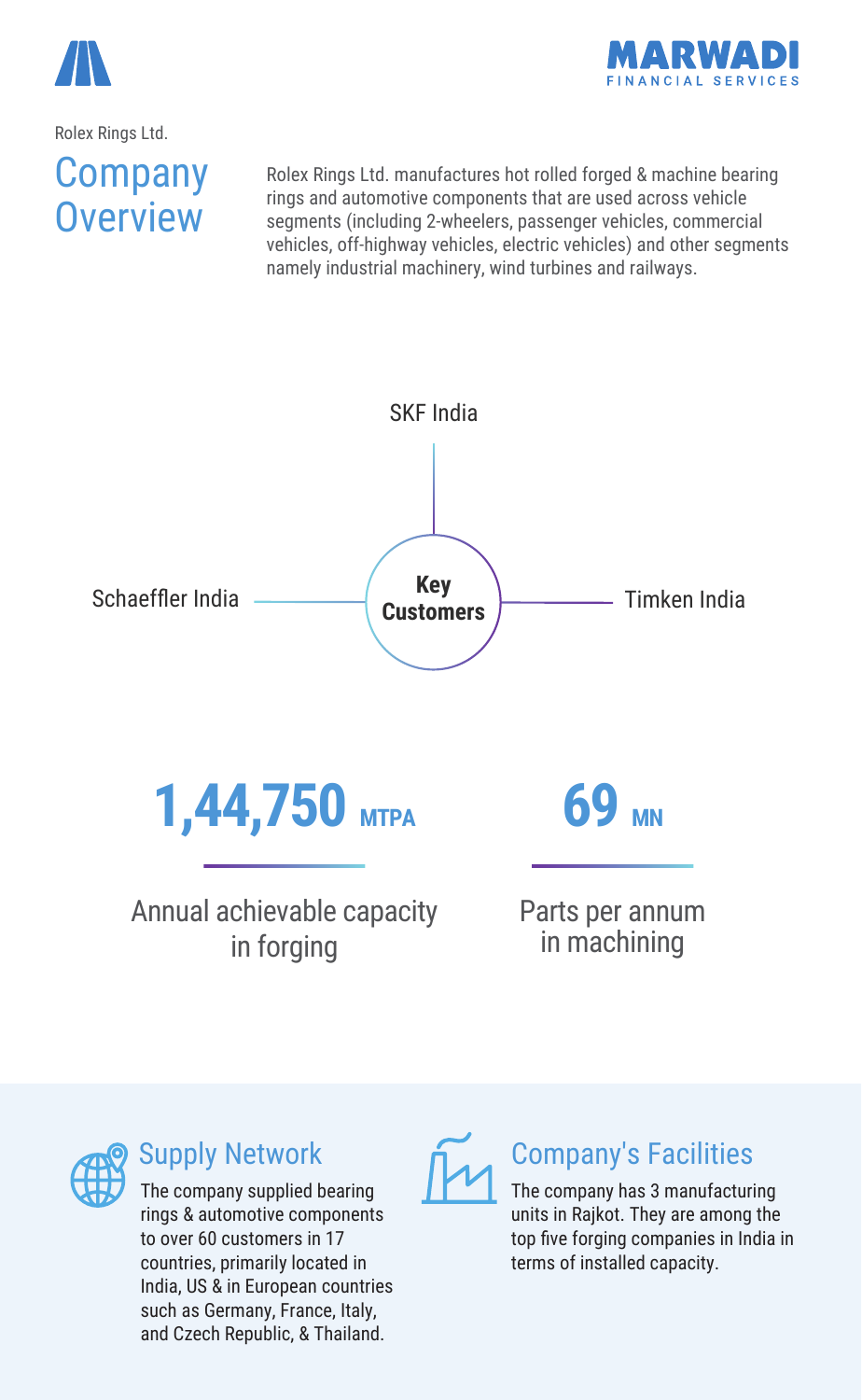



#### Rolex Rings Ltd. Company **Overview**

Rolex Rings Ltd. manufactures hot rolled forged & machine bearing rings and automotive components that are used across vehicle segments (including 2-wheelers, passenger vehicles, commercial vehicles, off-highway vehicles, electric vehicles) and other segments namely industrial machinery, wind turbines and railways.





#### Supply Network

The company supplied bearing rings & automotive components to over 60 customers in 17 countries, primarily located in India, US & in European countries such as Germany, France, Italy, and Czech Republic, & Thailand.



### Company's Facilities

The company has 3 manufacturing units in Rajkot. They are among the top five forging companies in India in terms of installed capacity.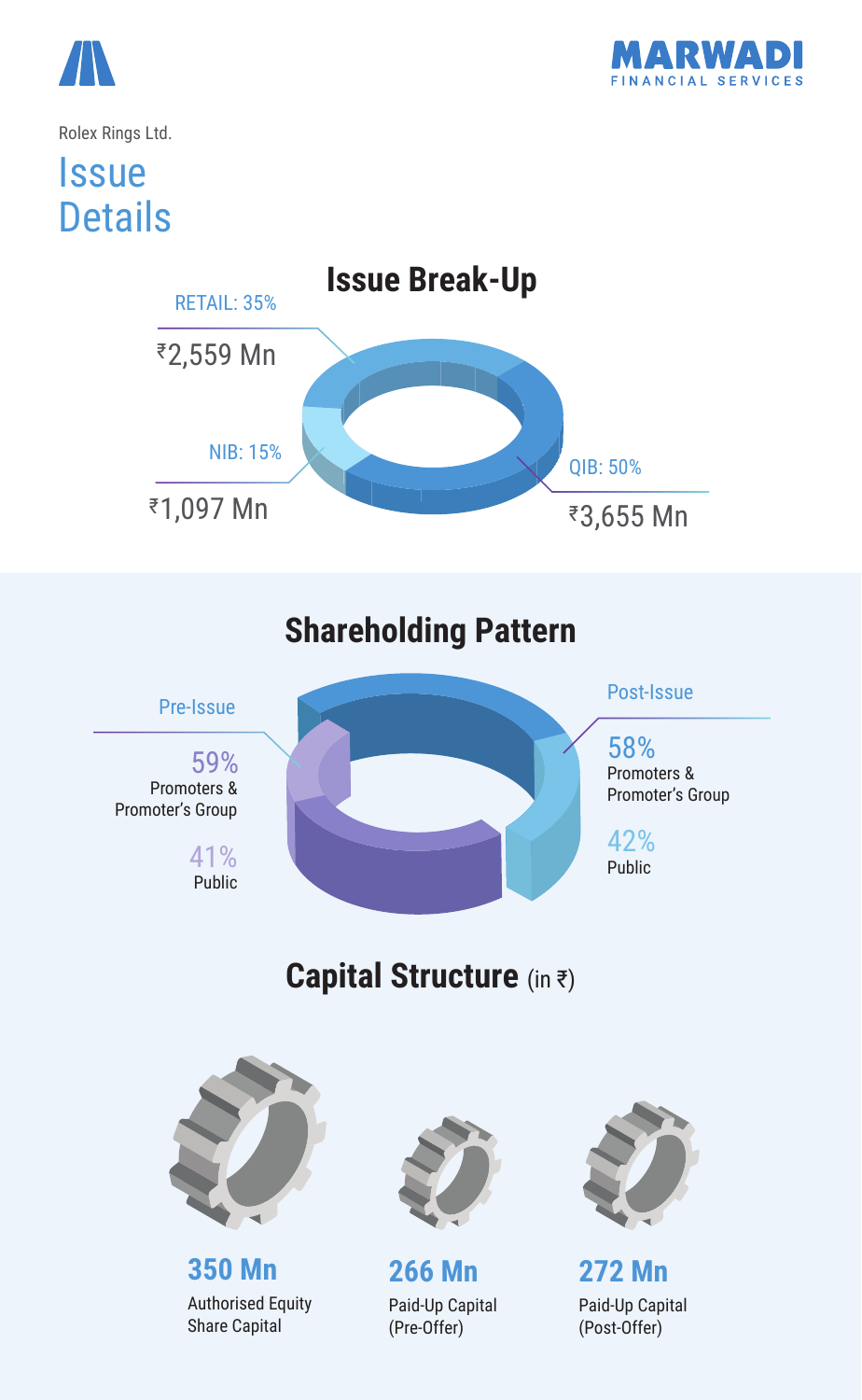



#### Rolex Rings Ltd.

## QIB: 50% ₹3,655 Mn NIB: 15% ₹1,097 Mn RETAIL: 35% ₹2,559 Mn 59% Promoters & Promoter's Group Pre-Issue 41% Public Post-Issue 58% Promoters & Promoter's Group 42% Public **Issue Details Shareholding Pattern Capital Structure** (in ₹) **Issue Break-Up 350 Mn 266 Mn 272 Mn**

Authorised Equity Share Capital

Paid-Up Capital (Pre-Offer)

Paid-Up Capital (Post-Offer)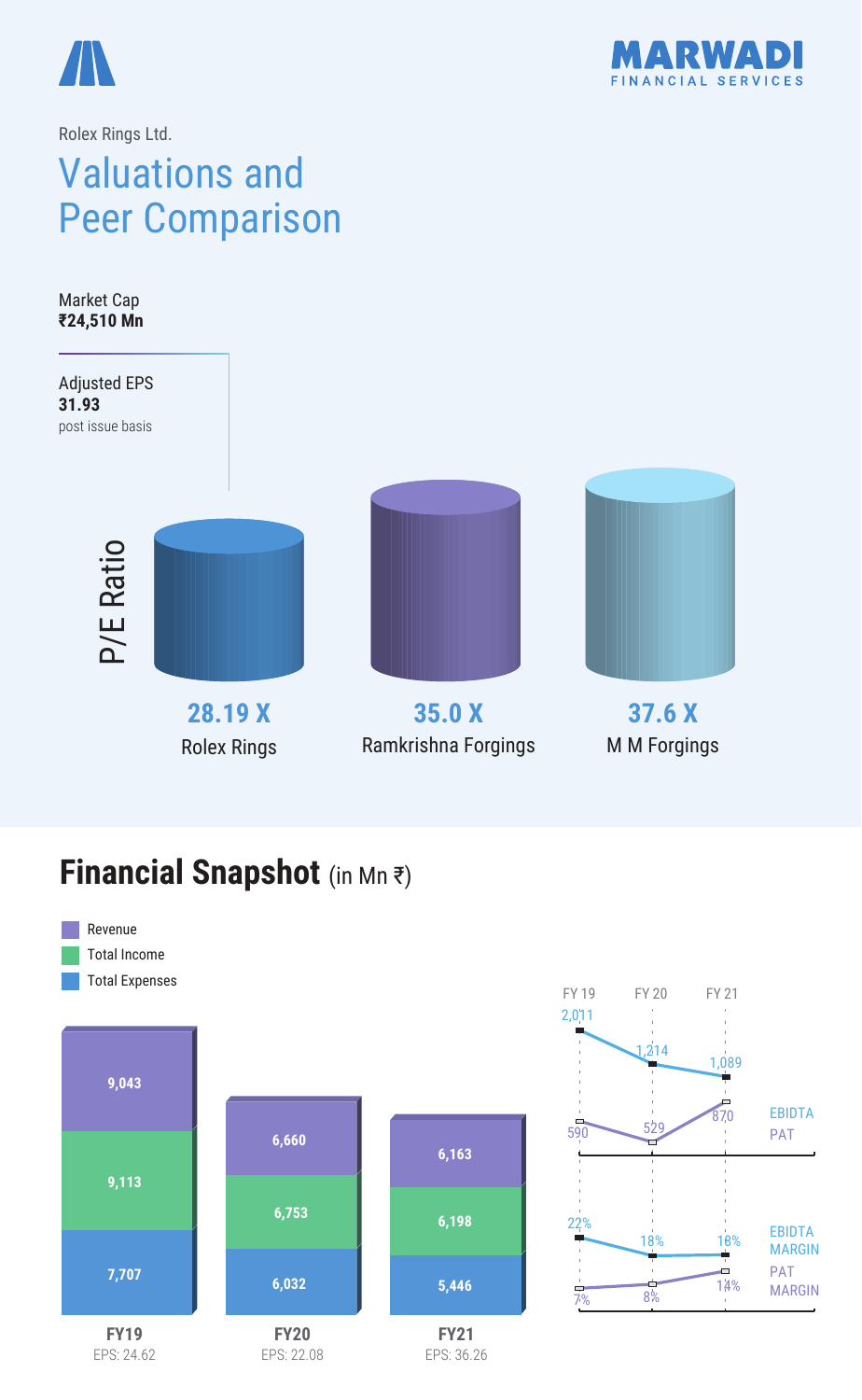



#### Rolex Rings Ltd. Valuations and Peer Comparison

Market Cap **₹24,510 Mn**



### **Financial Snapshot** (in Mn ₹)